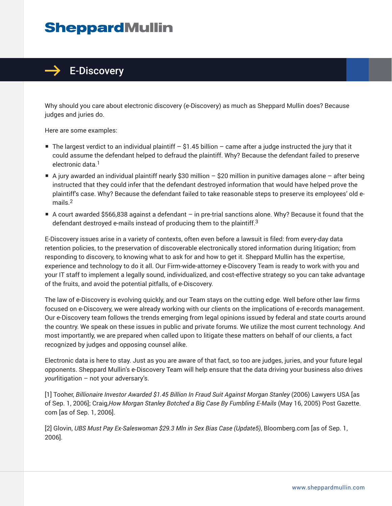## **SheppardMullin**



Why should you care about electronic discovery (e-Discovery) as much as Sheppard Mullin does? Because judges and juries do.

Here are some examples:

- The largest verdict to an individual plaintiff  $-$  \$1.45 billion  $-$  came after a judge instructed the jury that it could assume the defendant helped to defraud the plaintiff. Why? Because the defendant failed to preserve electronic data.<sup>1</sup>
- A jury awarded an individual plaintiff nearly \$30 million \$20 million in punitive damages alone after being instructed that they could infer that the defendant destroyed information that would have helped prove the plaintiff's case. Why? Because the defendant failed to take reasonable steps to preserve its employees' old emails.2
- A court awarded \$566,838 against a defendant in pre-trial sanctions alone. Why? Because it found that the defendant destroyed e-mails instead of producing them to the plaintiff.<sup>3</sup>

E-Discovery issues arise in a variety of contexts, often even before a lawsuit is filed: from every-day data retention policies, to the preservation of discoverable electronically stored information during litigation; from responding to discovery, to knowing what to ask for and how to get it. Sheppard Mullin has the expertise, experience and technology to do it all. Our Firm-wide-attorney e-Discovery Team is ready to work with you and your IT staff to implement a legally sound, individualized, and cost-effective strategy so you can take advantage of the fruits, and avoid the potential pitfalls, of e-Discovery.

The law of e-Discovery is evolving quickly, and our Team stays on the cutting edge. Well before other law firms focused on e-Discovery, we were already working with our clients on the implications of e-records management. Our e-Discovery team follows the trends emerging from legal opinions issued by federal and state courts around the country. We speak on these issues in public and private forums. We utilize the most current technology. And most importantly, we are prepared when called upon to litigate these matters on behalf of our clients, a fact recognized by judges and opposing counsel alike.

Electronic data is here to stay. Just as you are aware of that fact, so too are judges, juries, and your future legal opponents. Sheppard Mullin's e-Discovery Team will help ensure that the data driving your business also drives *your*litigation – not your adversary's.

[1] Tooher, *Billionaire Investor Awarded \$1.45 Billion In Fraud Suit Against Morgan Stanley (2006) Lawyers USA [as* of Sep. 1, 2006]; Craig,*How Morgan Stanley Botched a Big Case By Fumbling E-Mails* (May 16, 2005) Post Gazette. com [as of Sep. 1, 2006].

[2] Glovin, *UBS Must Pay Ex-Saleswoman \$29.3 Mln in Sex Bias Case (Update5)*, Bloomberg.com [as of Sep. 1, 2006].